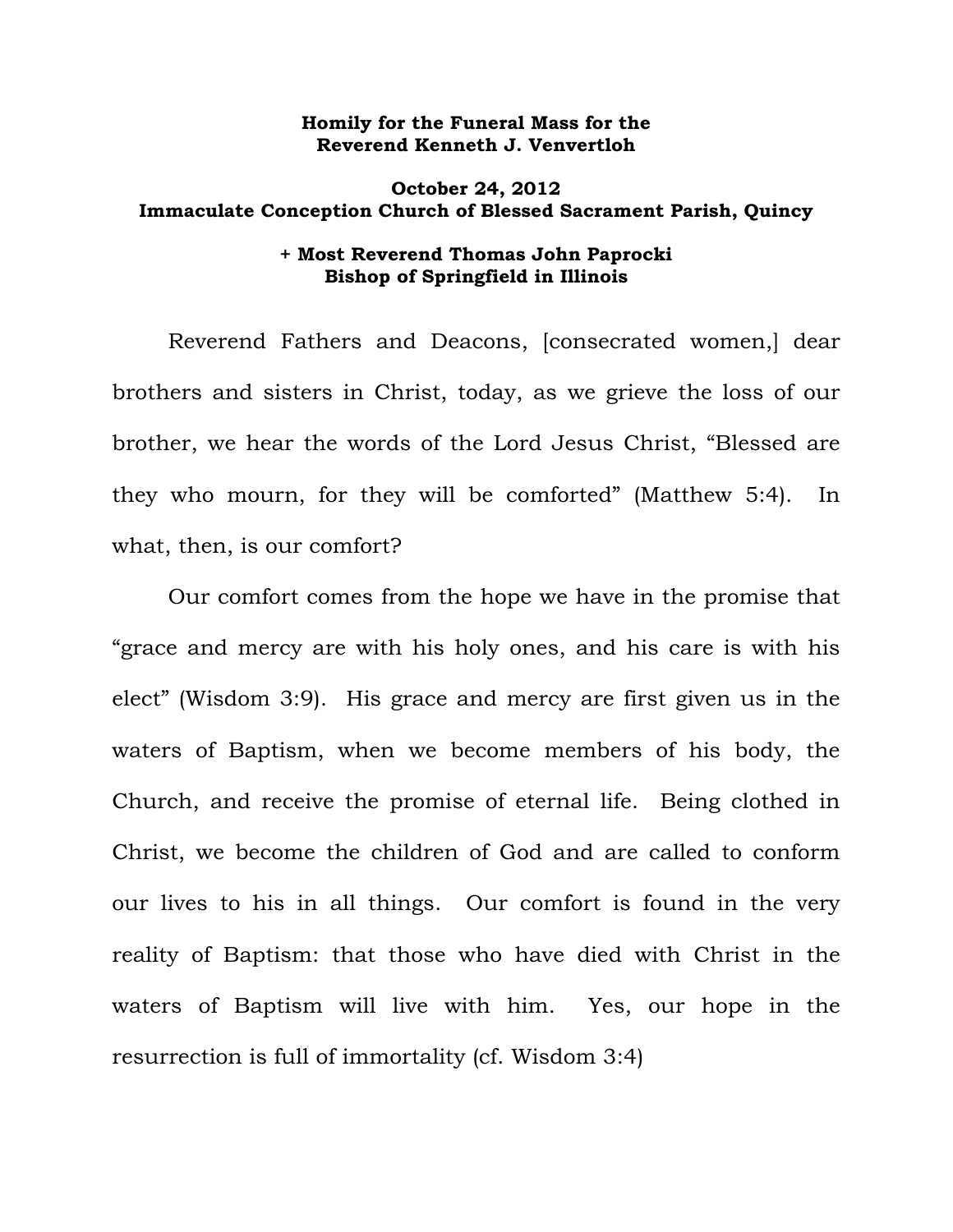## **Homily for the Funeral Mass for the Reverend Kenneth J. Venvertloh**

## **October 24, 2012 Immaculate Conception Church of Blessed Sacrament Parish, Quincy**

## **+ Most Reverend Thomas John Paprocki Bishop of Springfield in Illinois**

 Reverend Fathers and Deacons, [consecrated women,] dear brothers and sisters in Christ, today, as we grieve the loss of our brother, we hear the words of the Lord Jesus Christ, "Blessed are they who mourn, for they will be comforted" (Matthew 5:4). In what, then, is our comfort?

 Our comfort comes from the hope we have in the promise that "grace and mercy are with his holy ones, and his care is with his elect" (Wisdom 3:9). His grace and mercy are first given us in the waters of Baptism, when we become members of his body, the Church, and receive the promise of eternal life. Being clothed in Christ, we become the children of God and are called to conform our lives to his in all things. Our comfort is found in the very reality of Baptism: that those who have died with Christ in the waters of Baptism will live with him. Yes, our hope in the resurrection is full of immortality (cf. Wisdom 3:4)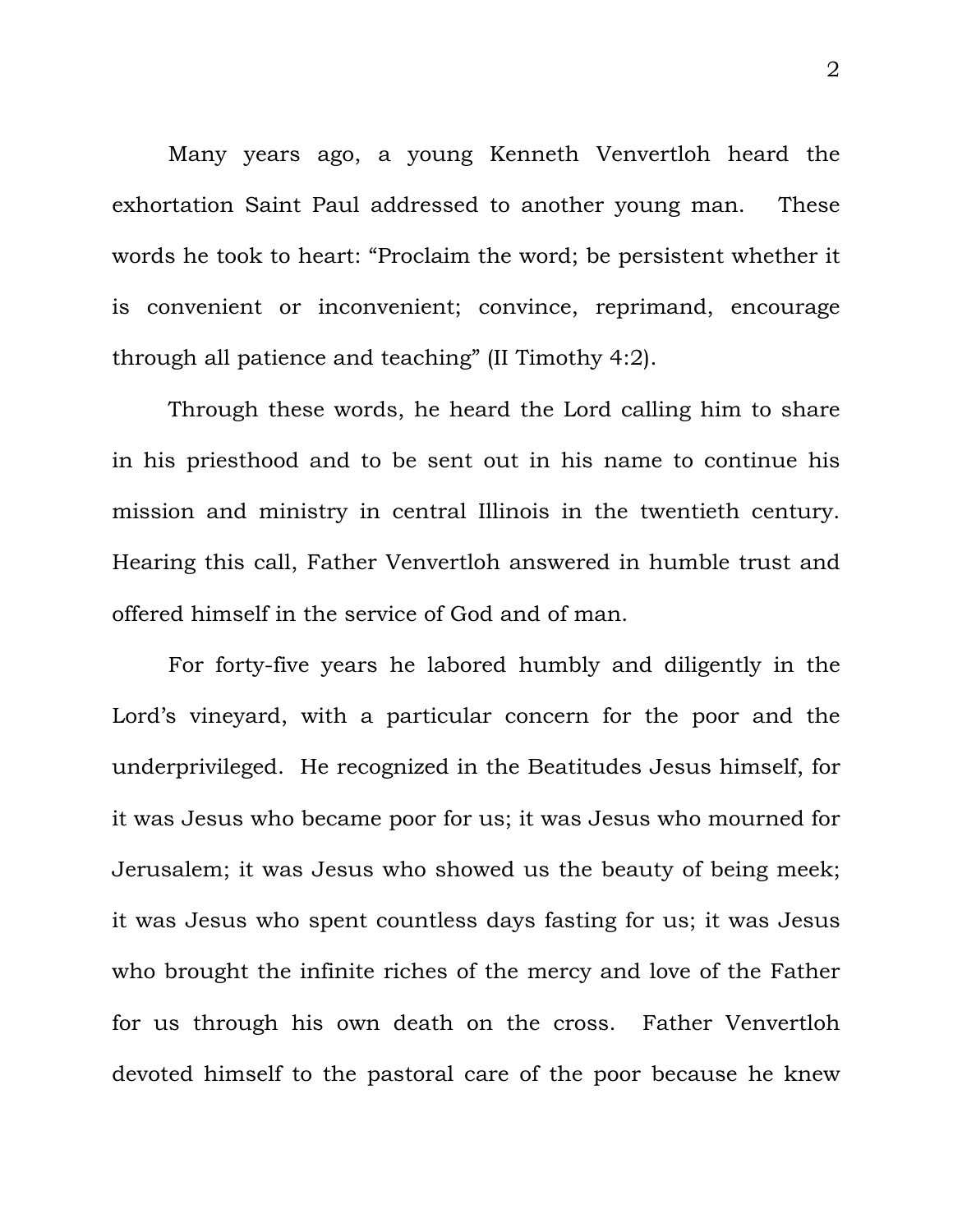Many years ago, a young Kenneth Venvertloh heard the exhortation Saint Paul addressed to another young man. These words he took to heart: "Proclaim the word; be persistent whether it is convenient or inconvenient; convince, reprimand, encourage through all patience and teaching" (II Timothy 4:2).

Through these words, he heard the Lord calling him to share in his priesthood and to be sent out in his name to continue his mission and ministry in central Illinois in the twentieth century. Hearing this call, Father Venvertloh answered in humble trust and offered himself in the service of God and of man.

 For forty-five years he labored humbly and diligently in the Lord's vineyard, with a particular concern for the poor and the underprivileged. He recognized in the Beatitudes Jesus himself, for it was Jesus who became poor for us; it was Jesus who mourned for Jerusalem; it was Jesus who showed us the beauty of being meek; it was Jesus who spent countless days fasting for us; it was Jesus who brought the infinite riches of the mercy and love of the Father for us through his own death on the cross. Father Venvertloh devoted himself to the pastoral care of the poor because he knew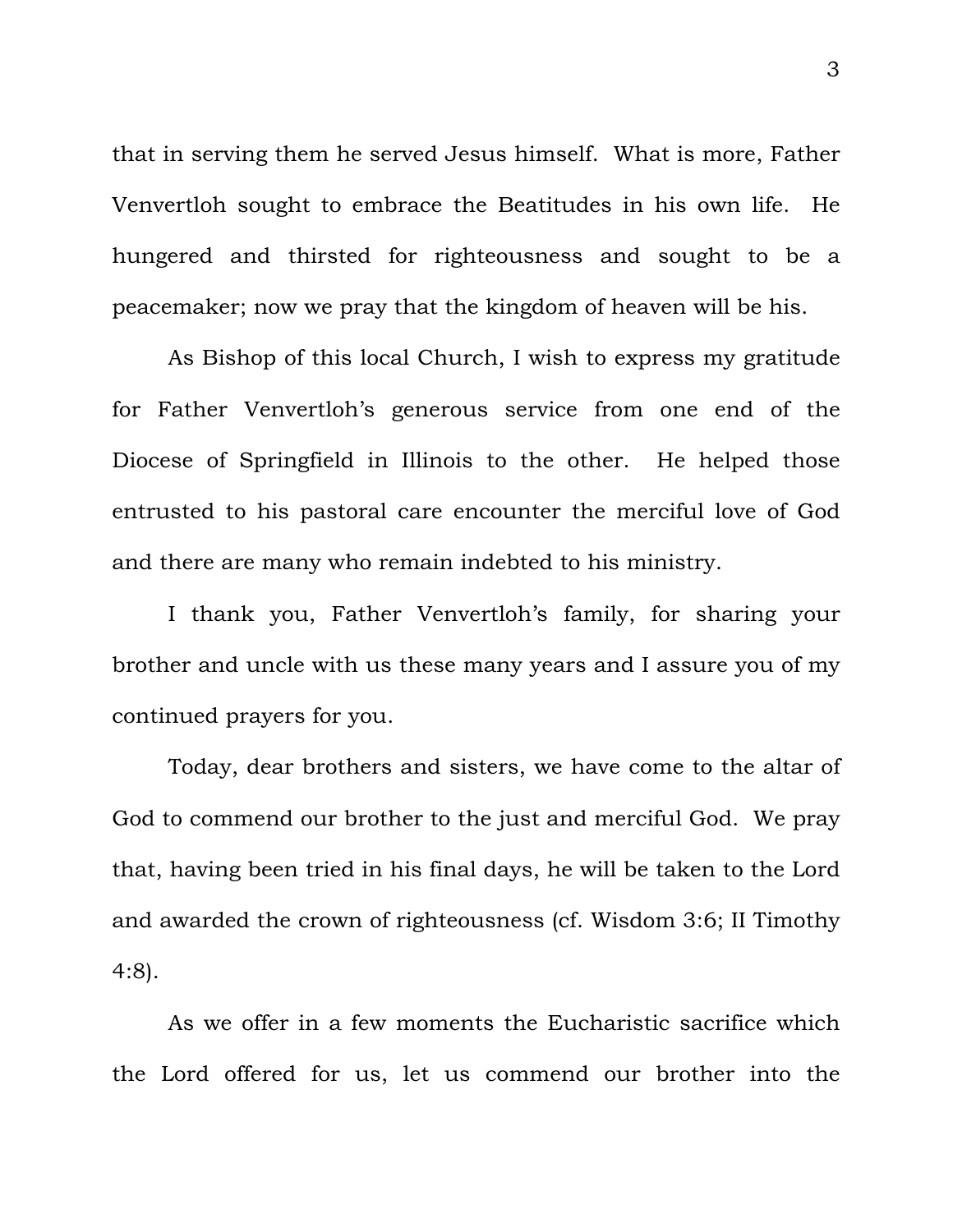that in serving them he served Jesus himself. What is more, Father Venvertloh sought to embrace the Beatitudes in his own life. He hungered and thirsted for righteousness and sought to be a peacemaker; now we pray that the kingdom of heaven will be his.

 As Bishop of this local Church, I wish to express my gratitude for Father Venvertloh's generous service from one end of the Diocese of Springfield in Illinois to the other. He helped those entrusted to his pastoral care encounter the merciful love of God and there are many who remain indebted to his ministry.

 I thank you, Father Venvertloh's family, for sharing your brother and uncle with us these many years and I assure you of my continued prayers for you.

 Today, dear brothers and sisters, we have come to the altar of God to commend our brother to the just and merciful God. We pray that, having been tried in his final days, he will be taken to the Lord and awarded the crown of righteousness (cf. Wisdom 3:6; II Timothy 4:8).

 As we offer in a few moments the Eucharistic sacrifice which the Lord offered for us, let us commend our brother into the